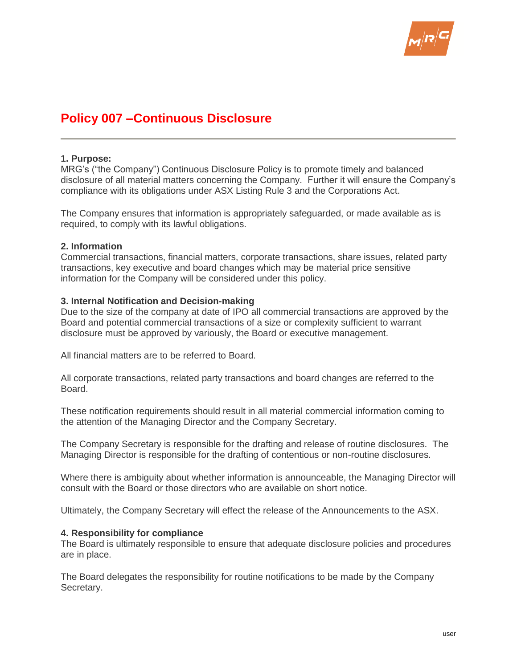

# **Policy 007 –Continuous Disclosure**

#### **1. Purpose:**

MRG's ("the Company") Continuous Disclosure Policy is to promote timely and balanced disclosure of all material matters concerning the Company. Further it will ensure the Company's compliance with its obligations under ASX Listing Rule 3 and the Corporations Act.

The Company ensures that information is appropriately safeguarded, or made available as is required, to comply with its lawful obligations.

#### **2. Information**

Commercial transactions, financial matters, corporate transactions, share issues, related party transactions, key executive and board changes which may be material price sensitive information for the Company will be considered under this policy.

## **3. Internal Notification and Decision-making**

Due to the size of the company at date of IPO all commercial transactions are approved by the Board and potential commercial transactions of a size or complexity sufficient to warrant disclosure must be approved by variously, the Board or executive management.

All financial matters are to be referred to Board.

All corporate transactions, related party transactions and board changes are referred to the Board.

These notification requirements should result in all material commercial information coming to the attention of the Managing Director and the Company Secretary.

The Company Secretary is responsible for the drafting and release of routine disclosures. The Managing Director is responsible for the drafting of contentious or non-routine disclosures.

Where there is ambiguity about whether information is announceable, the Managing Director will consult with the Board or those directors who are available on short notice.

Ultimately, the Company Secretary will effect the release of the Announcements to the ASX.

#### **4. Responsibility for compliance**

The Board is ultimately responsible to ensure that adequate disclosure policies and procedures are in place.

The Board delegates the responsibility for routine notifications to be made by the Company Secretary.